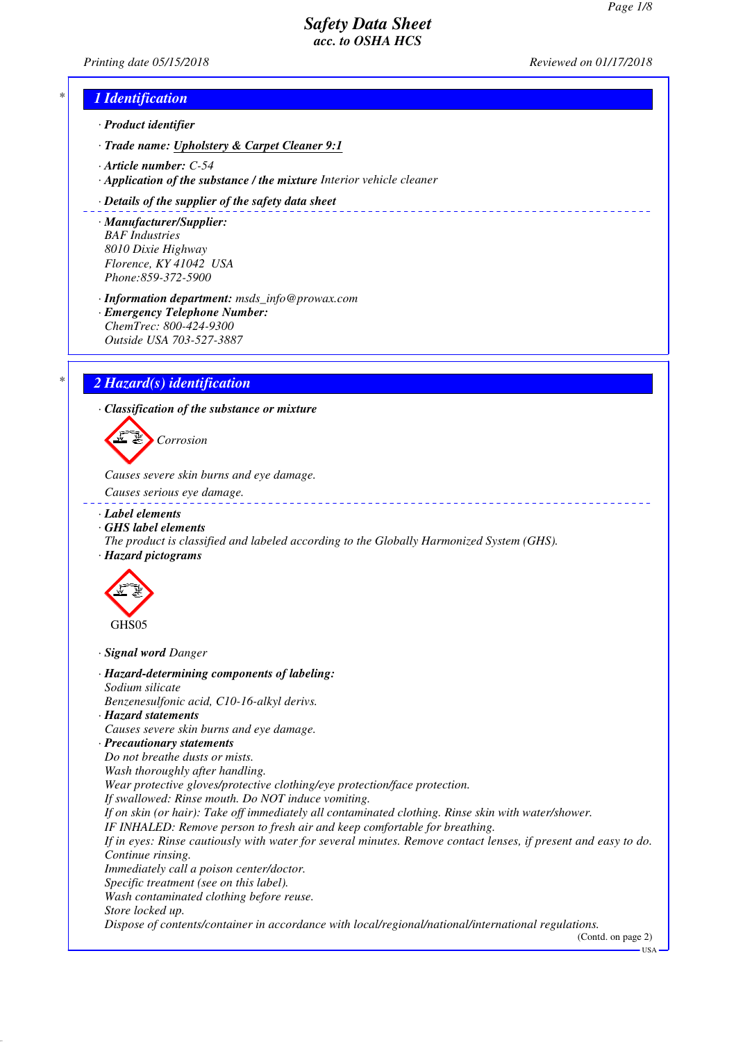*Printing date 05/15/2018 Reviewed on 01/17/2018*

\_\_\_\_\_\_\_\_\_\_\_\_\_\_\_\_\_\_\_\_\_\_\_\_\_\_\_\_\_\_\_\_\_\_\_

# *\* 1 Identification*

- *· Product identifier*
- *· Trade name: Upholstery & Carpet Cleaner 9:1*
- *· Article number: C-54*
- *· Application of the substance / the mixture Interior vehicle cleaner*

#### *· Details of the supplier of the safety data sheet*

- *· Manufacturer/Supplier: BAF Industries 8010 Dixie Highway Florence, KY 41042 USA Phone:859-372-5900*
- *· Information department: msds\_info@prowax.com*
- *· Emergency Telephone Number: ChemTrec: 800-424-9300 Outside USA 703-527-3887*

# *\* 2 Hazard(s) identification*

*· Classification of the substance or mixture*

*Corrosion*

*Causes severe skin burns and eye damage.* 

*Causes serious eye damage.* 

- *· Label elements*
- *· GHS label elements*
- *The product is classified and labeled according to the Globally Harmonized System (GHS).*
- *· Hazard pictograms*



*· Signal word Danger*

- *· Hazard-determining components of labeling: Sodium silicate Benzenesulfonic acid, C10-16-alkyl derivs.*
- *· Hazard statements Causes severe skin burns and eye damage.*

*· Precautionary statements Do not breathe dusts or mists. Wash thoroughly after handling. Wear protective gloves/protective clothing/eye protection/face protection. If swallowed: Rinse mouth. Do NOT induce vomiting. If on skin (or hair): Take off immediately all contaminated clothing. Rinse skin with water/shower. IF INHALED: Remove person to fresh air and keep comfortable for breathing. If in eyes: Rinse cautiously with water for several minutes. Remove contact lenses, if present and easy to do. Continue rinsing. Immediately call a poison center/doctor. Specific treatment (see on this label). Wash contaminated clothing before reuse. Store locked up. Dispose of contents/container in accordance with local/regional/national/international regulations.*

(Contd. on page 2) USA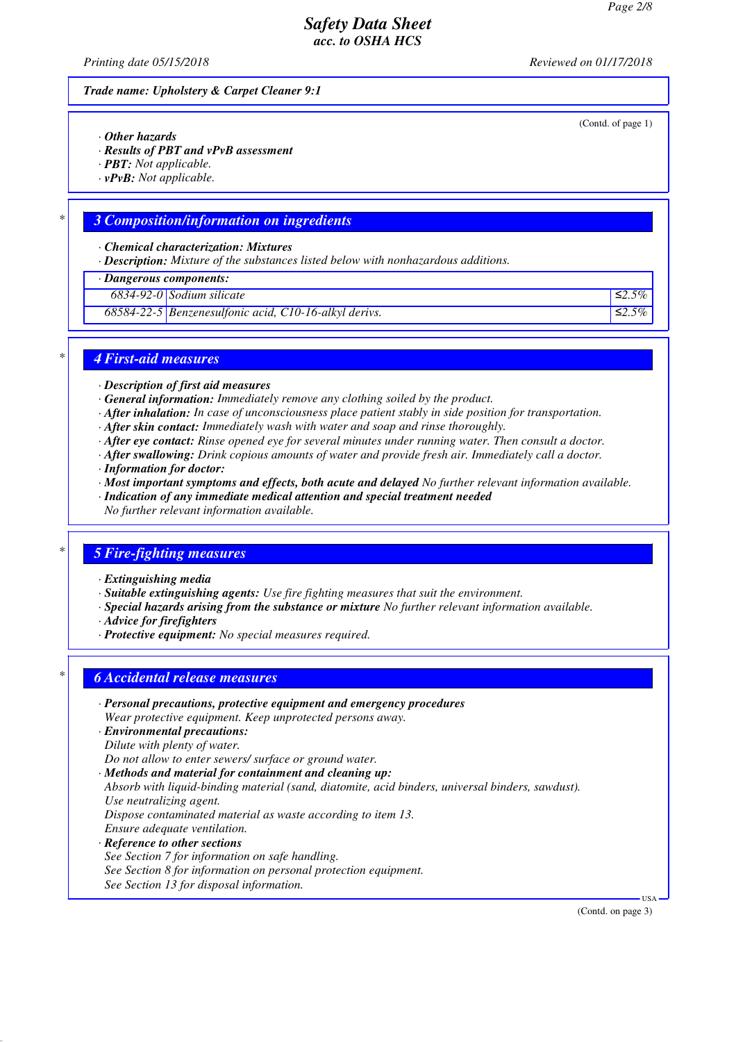*Printing date 05/15/2018 Reviewed on 01/17/2018*

(Contd. of page 1)

#### *Trade name: Upholstery & Carpet Cleaner 9:1*

*· Other hazards*

- *· Results of PBT and vPvB assessment*
- *· PBT: Not applicable.*
- *· vPvB: Not applicable.*

## *\* 3 Composition/information on ingredients*

*· Chemical characterization: Mixtures*

*· Description: Mixture of the substances listed below with nonhazardous additions.*

*· Dangerous components:*

*6834-92-0 Sodium silicate ≤2.5%*

*68584-22-5 Benzenesulfonic acid, C10-16-alkyl derivs. ≤2.5%*

#### *\* 4 First-aid measures*

*· Description of first aid measures*

- *· General information: Immediately remove any clothing soiled by the product.*
- *· After inhalation: In case of unconsciousness place patient stably in side position for transportation.*
- *· After skin contact: Immediately wash with water and soap and rinse thoroughly.*
- *· After eye contact: Rinse opened eye for several minutes under running water. Then consult a doctor.*
- *· After swallowing: Drink copious amounts of water and provide fresh air. Immediately call a doctor.*
- *· Information for doctor:*
- *· Most important symptoms and effects, both acute and delayed No further relevant information available.*
- *· Indication of any immediate medical attention and special treatment needed*
- *No further relevant information available.*

## *\* 5 Fire-fighting measures*

- *· Extinguishing media*
- *· Suitable extinguishing agents: Use fire fighting measures that suit the environment.*
- *· Special hazards arising from the substance or mixture No further relevant information available.*
- *· Advice for firefighters*
- *· Protective equipment: No special measures required.*

# *\* 6 Accidental release measures*

- *· Personal precautions, protective equipment and emergency procedures*
- *Wear protective equipment. Keep unprotected persons away.*
- *· Environmental precautions: Dilute with plenty of water.*
- *Do not allow to enter sewers/ surface or ground water.*
- *· Methods and material for containment and cleaning up:*
- *Absorb with liquid-binding material (sand, diatomite, acid binders, universal binders, sawdust). Use neutralizing agent.*
- *Dispose contaminated material as waste according to item 13.*
- *Ensure adequate ventilation.*
- *· Reference to other sections*
- *See Section 7 for information on safe handling.*
- *See Section 8 for information on personal protection equipment.*
- *See Section 13 for disposal information.*

(Contd. on page 3)

USA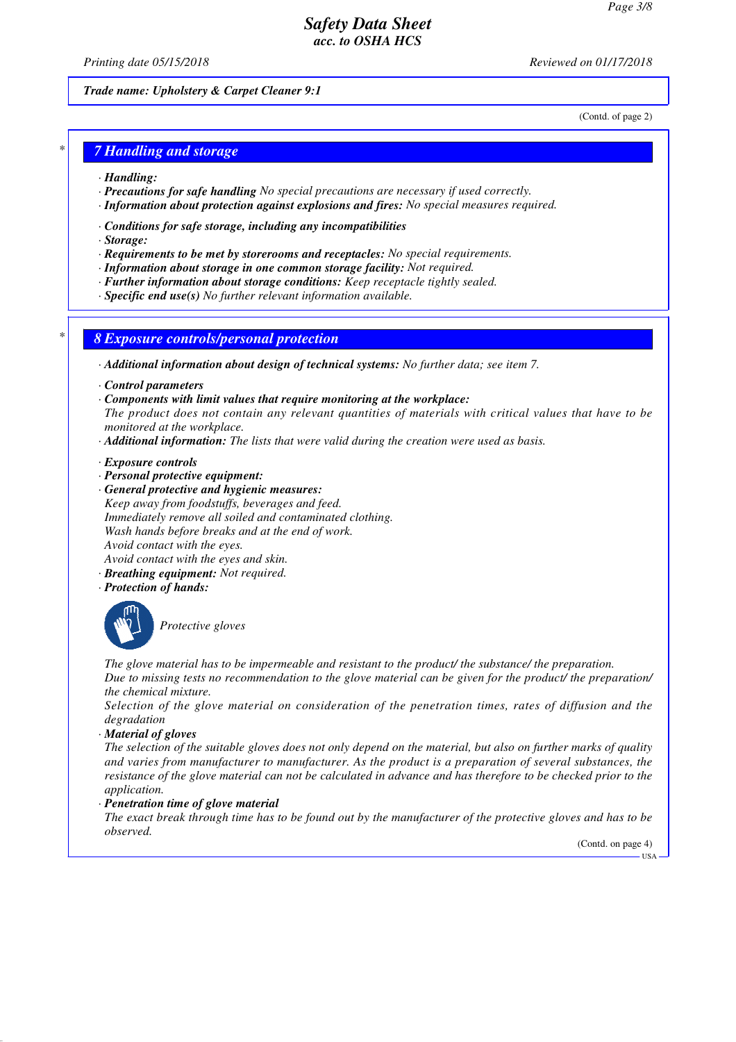*Printing date 05/15/2018 Reviewed on 01/17/2018*

*Trade name: Upholstery & Carpet Cleaner 9:1*

(Contd. of page 2)

## *\* 7 Handling and storage*

- *· Handling:*
- *· Precautions for safe handling No special precautions are necessary if used correctly.*
- *· Information about protection against explosions and fires: No special measures required.*
- *· Conditions for safe storage, including any incompatibilities*
- *· Storage:*
- *· Requirements to be met by storerooms and receptacles: No special requirements.*
- *· Information about storage in one common storage facility: Not required.*
- *· Further information about storage conditions: Keep receptacle tightly sealed.*
- *· Specific end use(s) No further relevant information available.*

#### *\* 8 Exposure controls/personal protection*

*· Additional information about design of technical systems: No further data; see item 7.*

- *· Control parameters*
- *· Components with limit values that require monitoring at the workplace:*

*The product does not contain any relevant quantities of materials with critical values that have to be monitored at the workplace.*

- *· Additional information: The lists that were valid during the creation were used as basis.*
- *· Exposure controls*
- *· Personal protective equipment:*
- *· General protective and hygienic measures: Keep away from foodstuffs, beverages and feed. Immediately remove all soiled and contaminated clothing. Wash hands before breaks and at the end of work. Avoid contact with the eyes. Avoid contact with the eyes and skin.*
- *· Breathing equipment: Not required.*
- *· Protection of hands:*



*Protective gloves*

*The glove material has to be impermeable and resistant to the product/ the substance/ the preparation. Due to missing tests no recommendation to the glove material can be given for the product/ the preparation/ the chemical mixture.*

*Selection of the glove material on consideration of the penetration times, rates of diffusion and the degradation*

*· Material of gloves*

*The selection of the suitable gloves does not only depend on the material, but also on further marks of quality and varies from manufacturer to manufacturer. As the product is a preparation of several substances, the resistance of the glove material can not be calculated in advance and has therefore to be checked prior to the application.*

#### *· Penetration time of glove material*

*The exact break through time has to be found out by the manufacturer of the protective gloves and has to be observed.*

(Contd. on page 4)

USA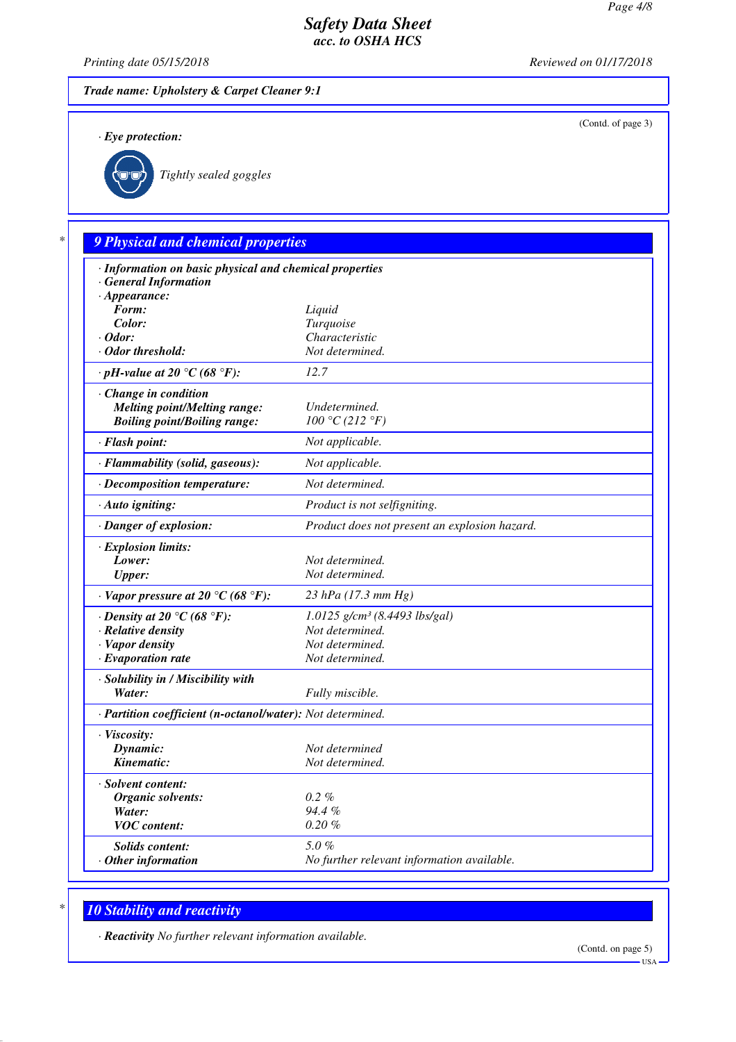*Printing date 05/15/2018 Reviewed on 01/17/2018*

(Contd. of page 3)

# *Trade name: Upholstery & Carpet Cleaner 9:1*

*· Eye protection:*



*Tightly sealed goggles*

# *\* 9 Physical and chemical properties*

| · Information on basic physical and chemical properties    |                                               |  |
|------------------------------------------------------------|-----------------------------------------------|--|
| · General Information                                      |                                               |  |
| $\cdot$ Appearance:                                        |                                               |  |
| Form:                                                      | Liquid                                        |  |
| Color:                                                     | Turquoise                                     |  |
| $\cdot$ Odor:                                              | Characteristic<br>Not determined.             |  |
| · Odor threshold:                                          |                                               |  |
| $\cdot$ pH-value at 20 $\degree$ C (68 $\degree$ F):       | 12.7                                          |  |
| · Change in condition                                      |                                               |  |
| <b>Melting point/Melting range:</b>                        | Undetermined.                                 |  |
| <b>Boiling point/Boiling range:</b>                        | 100 °C (212 °F)                               |  |
| · Flash point:                                             | Not applicable.                               |  |
| · Flammability (solid, gaseous):                           | Not applicable.                               |  |
| · Decomposition temperature:                               | Not determined.                               |  |
| · Auto igniting:                                           | Product is not selfigniting.                  |  |
| · Danger of explosion:                                     | Product does not present an explosion hazard. |  |
| · Explosion limits:                                        |                                               |  |
| Lower:                                                     | Not determined.                               |  |
| <b>Upper:</b>                                              | Not determined.                               |  |
| $\cdot$ Vapor pressure at 20 °C (68 °F):                   | 23 hPa (17.3 mm Hg)                           |  |
| $\cdot$ Density at 20 $\degree$ C (68 $\degree$ F):        | 1.0125 g/cm <sup>3</sup> (8.4493 lbs/gal)     |  |
| $\cdot$ Relative density                                   | Not determined.                               |  |
| · Vapor density                                            | Not determined.                               |  |
| $\cdot$ Evaporation rate                                   | Not determined.                               |  |
| · Solubility in / Miscibility with                         |                                               |  |
| Water:                                                     | Fully miscible.                               |  |
| · Partition coefficient (n-octanol/water): Not determined. |                                               |  |
| · Viscosity:                                               |                                               |  |
| Dynamic:                                                   | Not determined                                |  |
| Kinematic:                                                 | Not determined.                               |  |
| · Solvent content:                                         |                                               |  |
| Organic solvents:                                          | $0.2\%$                                       |  |
| Water:                                                     | 94.4%                                         |  |
| <b>VOC</b> content:                                        | $0.20 \%$                                     |  |
| <b>Solids content:</b>                                     | $5.0 \%$                                      |  |
| $·$ Other information                                      | No further relevant information available.    |  |
|                                                            |                                               |  |

# *\* 10 Stability and reactivity*

*· Reactivity No further relevant information available.*

(Contd. on page 5)

USA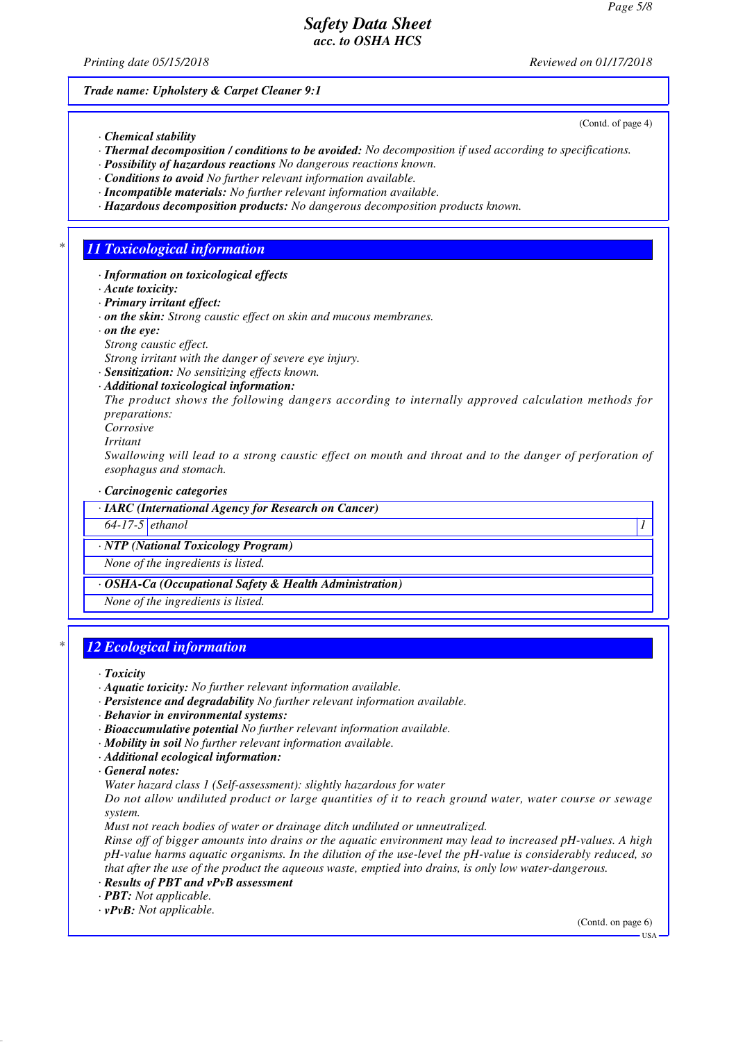*Printing date 05/15/2018 Reviewed on 01/17/2018*

(Contd. of page 4)

*Trade name: Upholstery & Carpet Cleaner 9:1*

*· Chemical stability*

- *· Thermal decomposition / conditions to be avoided: No decomposition if used according to specifications.*
- *· Possibility of hazardous reactions No dangerous reactions known.*
- *· Conditions to avoid No further relevant information available.*
- *· Incompatible materials: No further relevant information available.*
- *· Hazardous decomposition products: No dangerous decomposition products known.*

# *\* 11 Toxicological information*

- *· Information on toxicological effects*
- *· Acute toxicity:*
- *· Primary irritant effect:*
- *· on the skin: Strong caustic effect on skin and mucous membranes.*
- *· on the eye:*
- *Strong caustic effect.*

*Strong irritant with the danger of severe eye injury.*

- *· Sensitization: No sensitizing effects known.*
- *· Additional toxicological information:*

*The product shows the following dangers according to internally approved calculation methods for preparations:*

*Corrosive*

*Irritant*

*Swallowing will lead to a strong caustic effect on mouth and throat and to the danger of perforation of esophagus and stomach.*

*· Carcinogenic categories*

*· IARC (International Agency for Research on Cancer)*

*64-17-5 ethanol 1* 

*· NTP (National Toxicology Program)*

*None of the ingredients is listed.*

*· OSHA-Ca (Occupational Safety & Health Administration)*

*None of the ingredients is listed.*

## *\* 12 Ecological information*

*· Toxicity*

- *· Aquatic toxicity: No further relevant information available.*
- *· Persistence and degradability No further relevant information available.*
- *· Behavior in environmental systems:*
- *· Bioaccumulative potential No further relevant information available.*
- *· Mobility in soil No further relevant information available.*
- *· Additional ecological information:*

*· General notes:*

*Water hazard class 1 (Self-assessment): slightly hazardous for water*

*Do not allow undiluted product or large quantities of it to reach ground water, water course or sewage system.*

*Must not reach bodies of water or drainage ditch undiluted or unneutralized.*

*Rinse off of bigger amounts into drains or the aquatic environment may lead to increased pH-values. A high pH-value harms aquatic organisms. In the dilution of the use-level the pH-value is considerably reduced, so that after the use of the product the aqueous waste, emptied into drains, is only low water-dangerous.*

*· Results of PBT and vPvB assessment*

*· PBT: Not applicable.*

*· vPvB: Not applicable.*

(Contd. on page 6)

USA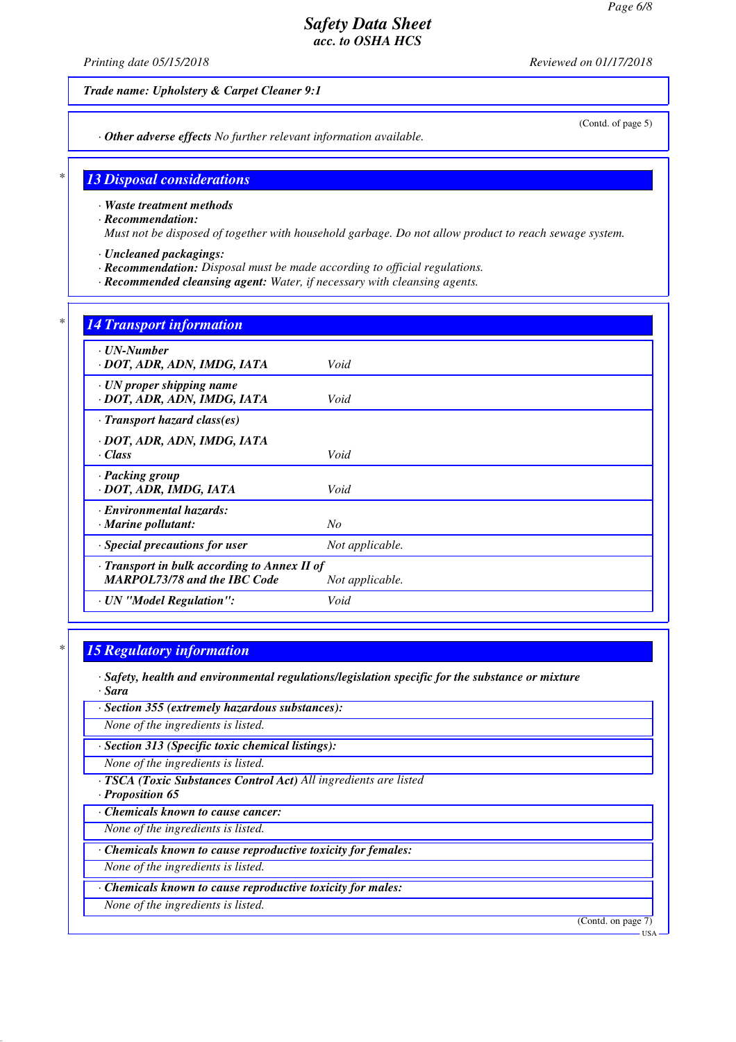*Printing date 05/15/2018 Reviewed on 01/17/2018*

*Trade name: Upholstery & Carpet Cleaner 9:1*

(Contd. of page 5)

*· Other adverse effects No further relevant information available.*

# *\* 13 Disposal considerations*

*· Waste treatment methods*

- *· Uncleaned packagings:*
- *· Recommendation: Disposal must be made according to official regulations.*
- *· Recommended cleansing agent: Water, if necessary with cleansing agents.*

| <b>14 Transport information</b>                                                     |                 |
|-------------------------------------------------------------------------------------|-----------------|
| $\cdot$ UN-Number<br>· DOT, ADR, ADN, IMDG, IATA                                    | Void            |
| $\cdot$ UN proper shipping name<br>· DOT, ADR, ADN, IMDG, IATA                      | Void            |
| $\cdot$ Transport hazard class(es)                                                  |                 |
| · DOT, ADR, ADN, IMDG, IATA<br>· Class                                              | Void            |
| · Packing group<br>· DOT, ADR, IMDG, IATA                                           | Void            |
| · Environmental hazards:<br>· Marine pollutant:                                     | No              |
| · Special precautions for user                                                      | Not applicable. |
| · Transport in bulk according to Annex II of<br><b>MARPOL73/78 and the IBC Code</b> | Not applicable. |
| · UN "Model Regulation":                                                            | Void            |

## *\* 15 Regulatory information*

- *· Safety, health and environmental regulations/legislation specific for the substance or mixture · Sara*
- *· Section 355 (extremely hazardous substances):*
- *None of the ingredients is listed.*
- *· Section 313 (Specific toxic chemical listings):*
- *None of the ingredients is listed.*
- *· TSCA (Toxic Substances Control Act) All ingredients are listed*
- *· Proposition 65*
- *· Chemicals known to cause cancer:*
- *None of the ingredients is listed.*
- *· Chemicals known to cause reproductive toxicity for females:*
- *None of the ingredients is listed.*
- *· Chemicals known to cause reproductive toxicity for males:*
- *None of the ingredients is listed.*

(Contd. on page 7)

*<sup>·</sup> Recommendation: Must not be disposed of together with household garbage. Do not allow product to reach sewage system.*

USA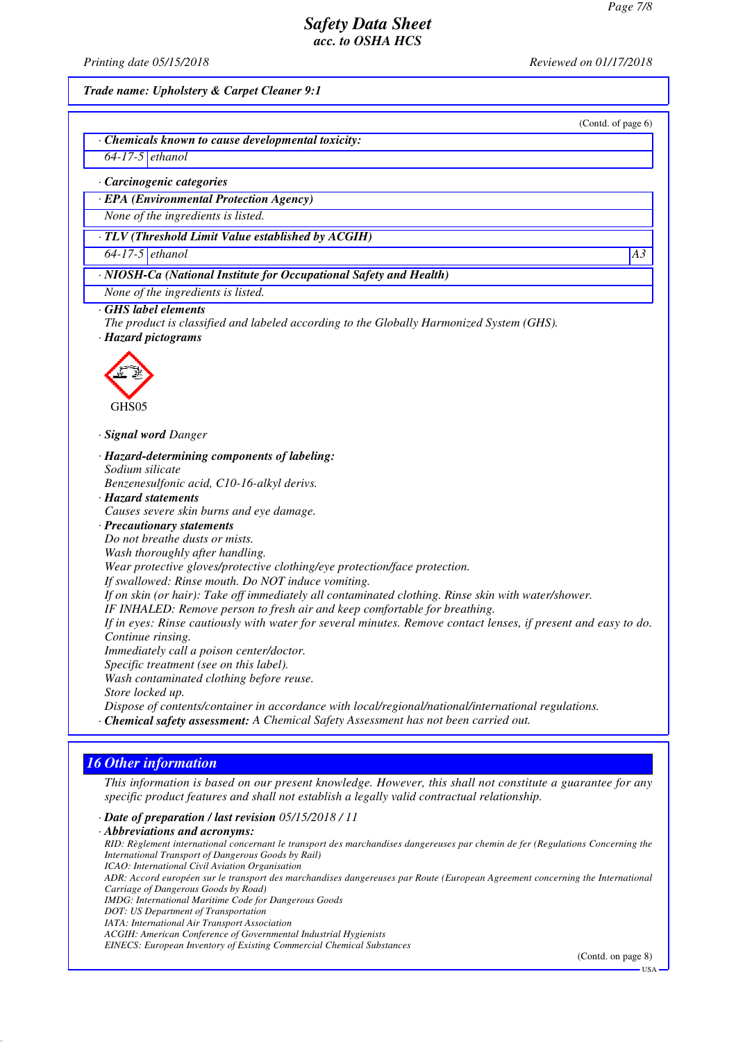*Printing date 05/15/2018 Reviewed on 01/17/2018*

*Trade name: Upholstery & Carpet Cleaner 9:1*

(Contd. of page 6)

| Chemicals known to cause developmental toxicity: |  |
|--------------------------------------------------|--|
|--------------------------------------------------|--|

*64-17-5 ethanol*

*· Carcinogenic categories*

*· EPA (Environmental Protection Agency)*

*None of the ingredients is listed.*

*· TLV (Threshold Limit Value established by ACGIH)*

*64-17-5 ethanol A3*

*· NIOSH-Ca (National Institute for Occupational Safety and Health)*

*None of the ingredients is listed.*

#### *· GHS label elements*

*The product is classified and labeled according to the Globally Harmonized System (GHS).*

*· Hazard pictograms*



*· Signal word Danger*

*· Hazard-determining components of labeling: Sodium silicate*

*Benzenesulfonic acid, C10-16-alkyl derivs.*

*· Hazard statements*

*Causes severe skin burns and eye damage.*

*· Precautionary statements Do not breathe dusts or mists. Wash thoroughly after handling. Wear protective gloves/protective clothing/eye protection/face protection. If swallowed: Rinse mouth. Do NOT induce vomiting. If on skin (or hair): Take off immediately all contaminated clothing. Rinse skin with water/shower. IF INHALED: Remove person to fresh air and keep comfortable for breathing. If in eyes: Rinse cautiously with water for several minutes. Remove contact lenses, if present and easy to do. Continue rinsing. Immediately call a poison center/doctor. Specific treatment (see on this label). Wash contaminated clothing before reuse. Store locked up. Dispose of contents/container in accordance with local/regional/national/international regulations. · Chemical safety assessment: A Chemical Safety Assessment has not been carried out.*

## *16 Other information*

*This information is based on our present knowledge. However, this shall not constitute a guarantee for any specific product features and shall not establish a legally valid contractual relationship.*

*· Date of preparation / last revision 05/15/2018 / 11*

*· Abbreviations and acronyms: RID: Règlement international concernant le transport des marchandises dangereuses par chemin de fer (Regulations Concerning the International Transport of Dangerous Goods by Rail) ICAO: International Civil Aviation Organisation ADR: Accord européen sur le transport des marchandises dangereuses par Route (European Agreement concerning the International Carriage of Dangerous Goods by Road) IMDG: International Maritime Code for Dangerous Goods DOT: US Department of Transportation IATA: International Air Transport Association ACGIH: American Conference of Governmental Industrial Hygienists EINECS: European Inventory of Existing Commercial Chemical Substances*